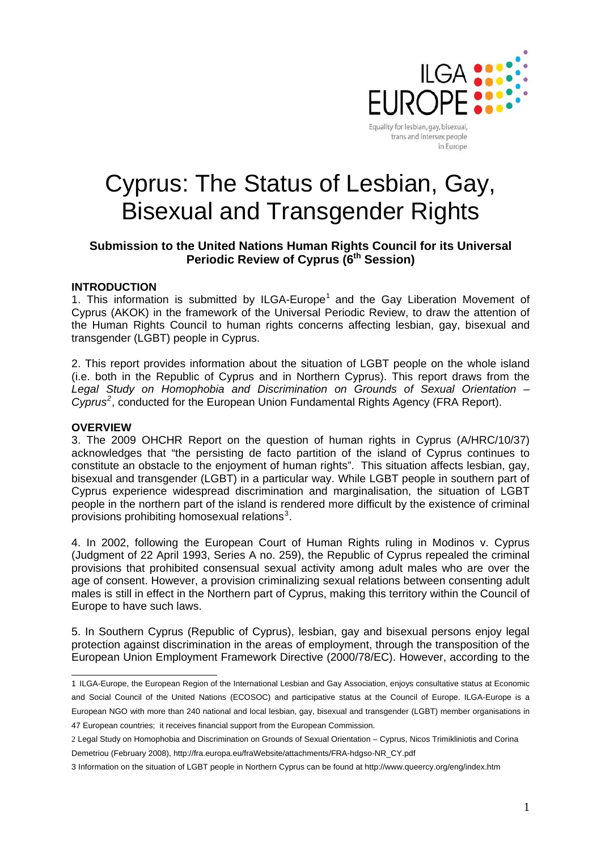

trans and intersex people in Europe

# Cyprus: The Status of Lesbian, Gay, Bisexual and Transgender Rights

# **Submission to the United Nations Human Rights Council for its Universal Periodic Review of Cyprus (6<sup>th</sup> Session)**

#### **INTRODUCTION**

[1](#page-0-0). This information is submitted by ILGA-Europe<sup>1</sup> and the Gay Liberation Movement of Cyprus (AKOK) in the framework of the Universal Periodic Review, to draw the attention of the Human Rights Council to human rights concerns affecting lesbian, gay, bisexual and transgender (LGBT) people in Cyprus.

2. This report provides information about the situation of LGBT people on the whole island (i.e. both in the Republic of Cyprus and in Northern Cyprus). This report draws from the *Legal Study on Homophobia and Discrimination on Grounds of Sexual Orientation – Cyprus[2](#page-0-1)* , conducted for the European Union Fundamental Rights Agency (FRA Report).

#### **OVERVIEW**

3. The 2009 OHCHR Report on the question of human rights in Cyprus (A/HRC/10/37) acknowledges that "the persisting de facto partition of the island of Cyprus continues to constitute an obstacle to the enjoyment of human rights". This situation affects lesbian, gay, bisexual and transgender (LGBT) in a particular way. While LGBT people in southern part of Cyprus experience widespread discrimination and marginalisation, the situation of LGBT people in the northern part of the island is rendered more difficult by the existence of criminal provisions prohibiting homosexual relations $3$ .

4. In 2002, following the European Court of Human Rights ruling in Modinos v. Cyprus (Judgment of 22 April 1993, Series A no. 259), the Republic of Cyprus repealed the criminal provisions that prohibited consensual sexual activity among adult males who are over the age of consent. However, a provision criminalizing sexual relations between consenting adult males is still in effect in the Northern part of Cyprus, making this territory within the Council of Europe to have such laws.

5. In Southern Cyprus (Republic of Cyprus), lesbian, gay and bisexual persons enjoy legal protection against discrimination in the areas of employment, through the transposition of the European Union Employment Framework Directive (2000/78/EC). However, according to the

<span id="page-0-0"></span> 1 ILGA-Europe, the European Region of the International Lesbian and Gay Association, enjoys consultative status at [Economic](http://www.un.org/docs/ecosoc/)  [and Social Council of the United Nations \(ECOSOC\)](http://www.un.org/docs/ecosoc/) and participative status at the [Council of Europe](http://www.coe.int/). ILGA-Europe is a European NGO with more than 240 national and local lesbian, gay, bisexual and transgender (LGBT) member organisations in 47 European countries; it receives financial support from the European Commission.

<span id="page-0-1"></span><sup>2</sup> Legal Study on Homophobia and Discrimination on Grounds of Sexual Orientation – Cyprus, Nicos Trimikliniotis and Corina Demetriou (February 2008), http://fra.europa.eu/fraWebsite/attachments/FRA-hdgso-NR\_CY.pdf

<span id="page-0-2"></span><sup>3</sup> Information on the situation of LGBT people in Northern Cyprus can be found at http://www.queercy.org/eng/index.htm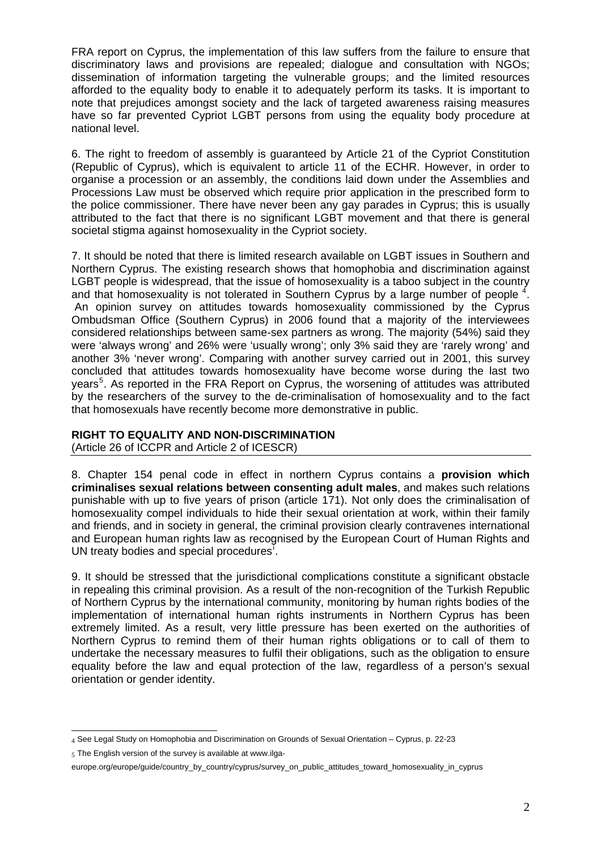FRA report on Cyprus, the implementation of this law suffers from the failure to ensure that discriminatory laws and provisions are repealed; dialogue and consultation with NGOs; dissemination of information targeting the vulnerable groups; and the limited resources afforded to the equality body to enable it to adequately perform its tasks. It is important to note that prejudices amongst society and the lack of targeted awareness raising measures have so far prevented Cypriot LGBT persons from using the equality body procedure at national level.

6. The right to freedom of assembly is guaranteed by Article 21 of the Cypriot Constitution (Republic of Cyprus), which is equivalent to article 11 of the ECHR. However, in order to organise a procession or an assembly, the conditions laid down under the Assemblies and Processions Law must be observed which require prior application in the prescribed form to the police commissioner. There have never been any gay parades in Cyprus; this is usually attributed to the fact that there is no significant LGBT movement and that there is general societal stigma against homosexuality in the Cypriot society.

7. It should be noted that there is limited research available on LGBT issues in Southern and Northern Cyprus. The existing research shows that homophobia and discrimination against LGBT people is widespread, that the issue of homosexuality is a taboo subject in the country and that homosexuality is not tolerated in Southern Cyprus by a large number of people  $4$ . An opinion survey on attitudes towards homosexuality commissioned by the Cyprus Ombudsman Office (Southern Cyprus) in 2006 found that a majority of the interviewees considered relationships between same-sex partners as wrong. The majority (54%) said they were 'always wrong' and 26% were 'usually wrong'; only 3% said they are 'rarely wrong' and another 3% 'never wrong'. Comparing with another survey carried out in 2001, this survey concluded that attitudes towards homosexuality have become worse during the last two years<sup>[5](#page-1-1)</sup>. As reported in the FRA Report on Cyprus, the worsening of attitudes was attributed by the researchers of the survey to the de-criminalisation of homosexuality and to the fact that homosexuals have recently become more demonstrative in public.

## **RIGHT TO EQUALITY AND NON-DISCRIMINATION**

(Article 26 of ICCPR and Article 2 of ICESCR)

8. Chapter 154 penal code in effect in northern Cyprus contains a **provision which criminalises sexual relations between consenting adult males**, and makes such relations punishable with up to five years of prison (article 171). Not only does the criminalisation of homosexuality compel individuals to hide their sexual orientation at work, within their family and friends, and in society in general, the criminal provision clearly contravenes international and European human rights law as recognised by the European Court of Human Rights and UN treaty bod[i](#page-4-0)es and special procedures<sup>1</sup>.

9. It should be stressed that the jurisdictional complications constitute a significant obstacle in repealing this criminal provision. As a result of the non-recognition of the Turkish Republic of Northern Cyprus by the international community, monitoring by human rights bodies of the implementation of international human rights instruments in Northern Cyprus has been extremely limited. As a result, very little pressure has been exerted on the authorities of Northern Cyprus to remind them of their human rights obligations or to call of them to undertake the necessary measures to fulfil their obligations, such as the obligation to ensure equality before the law and equal protection of the law, regardless of a person's sexual orientation or gender identity.

<sup>&</sup>lt;u>.</u> 4 See Legal Study on Homophobia and Discrimination on Grounds of Sexual Orientation – Cyprus, p. 22-23

<span id="page-1-1"></span><span id="page-1-0"></span> $5$  The English version of the survey is available at [www.ilga-](http://www.ilga-europe.org/europe/guide/country_by_country/cyprus/survey_on_public_attitudes_toward_homosexuality_in_cyprus)

[europe.org/europe/guide/country\\_by\\_country/cyprus/survey\\_on\\_public\\_attitudes\\_toward\\_homosexuality\\_in\\_cyprus](http://www.ilga-europe.org/europe/guide/country_by_country/cyprus/survey_on_public_attitudes_toward_homosexuality_in_cyprus)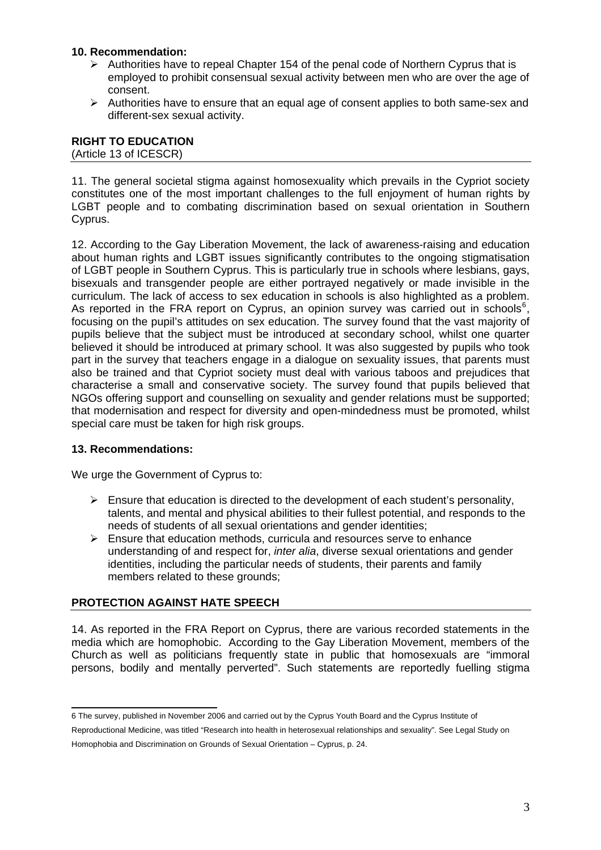## **10. Recommendation:**

- $\triangleright$  Authorities have to repeal Chapter 154 of the penal code of Northern Cyprus that is employed to prohibit consensual sexual activity between men who are over the age of consent.
- $\triangleright$  Authorities have to ensure that an equal age of consent applies to both same-sex and different-sex sexual activity.

## **RIGHT TO EDUCATION**  (Article 13 of ICESCR)

11. The general societal stigma against homosexuality which prevails in the Cypriot society constitutes one of the most important challenges to the full enjoyment of human rights by LGBT people and to combating discrimination based on sexual orientation in Southern Cyprus.

12. According to the Gay Liberation Movement, the lack of awareness-raising and education about human rights and LGBT issues significantly contributes to the ongoing stigmatisation of LGBT people in Southern Cyprus. This is particularly true in schools where lesbians, gays, bisexuals and transgender people are either portrayed negatively or made invisible in the curriculum. The lack of access to sex education in schools is also highlighted as a problem. As reported in the FRA report on Cyprus, an opinion survey was carried out in schools $6$ , focusing on the pupil's attitudes on sex education. The survey found that the vast majority of pupils believe that the subject must be introduced at secondary school, whilst one quarter believed it should be introduced at primary school. It was also suggested by pupils who took part in the survey that teachers engage in a dialogue on sexuality issues, that parents must also be trained and that Cypriot society must deal with various taboos and prejudices that characterise a small and conservative society. The survey found that pupils believed that NGOs offering support and counselling on sexuality and gender relations must be supported; that modernisation and respect for diversity and open-mindedness must be promoted, whilst special care must be taken for high risk groups.

# **13. Recommendations:**

We urge the Government of Cyprus to:

- $\triangleright$  Ensure that education is directed to the development of each student's personality, talents, and mental and physical abilities to their fullest potential, and responds to the needs of students of all sexual orientations and gender identities;
- $\triangleright$  Ensure that education methods, curricula and resources serve to enhance understanding of and respect for, *inter alia*, diverse sexual orientations and gender identities, including the particular needs of students, their parents and family members related to these grounds;

# **PROTECTION AGAINST HATE SPEECH**

14. As reported in the FRA Report on Cyprus, there are various recorded statements in the media which are homophobic. According to the Gay Liberation Movement, members of the Church as well as politicians frequently state in public that homosexuals are "immoral persons, bodily and mentally perverted". Such statements are reportedly fuelling stigma

<span id="page-2-0"></span> 6 The survey, published in November 2006 and carried out by the Cyprus Youth Board and the Cyprus Institute of Reproductional Medicine, was titled "Research into health in heterosexual relationships and sexuality". See Legal Study on Homophobia and Discrimination on Grounds of Sexual Orientation – Cyprus, p. 24.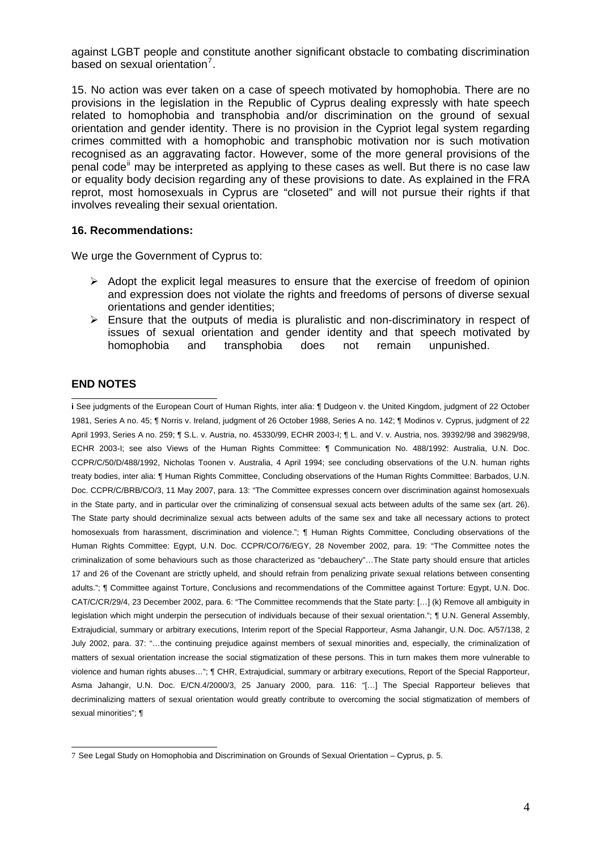against LGBT people and constitute another significant obstacle to combating discrimination based on sexual orientation $7$ .

15. No action was ever taken on a case of speech motivated by homophobia. There are no provisions in the legislation in the Republic of Cyprus dealing expressly with hate speech related to homophobia and transphobia and/or discrimination on the ground of sexual orientation and gender identity. There is no provision in the Cypriot legal system regarding crimes committed with a homophobic and transphobic motivation nor is such motivation recognised as an aggravating factor. However, some of the more general provisions of the penal code<sup>[ii](#page-4-1)</sup> may be interpreted as applying to these cases as well. But there is no case law or equality body decision regarding any of these provisions to date. As explained in the FRA reprot, most homosexuals in Cyprus are "closeted" and will not pursue their rights if that involves revealing their sexual orientation.

#### **16. Recommendations:**

We urge the Government of Cyprus to:

- $\triangleright$  Adopt the explicit legal measures to ensure that the exercise of freedom of opinion and expression does not violate the rights and freedoms of persons of diverse sexual orientations and gender identities;
- $\triangleright$  Ensure that the outputs of media is pluralistic and non-discriminatory in respect of issues of sexual orientation and gender identity and that speech motivated by homophobia and transphobia does not remain unpunished.

## **END NOTES**

**i Court Comments**<br>**i** See judgments of the European Court of Human Rights, inter alia: ¶ Dudgeon v. the United Kingdom, judgment of 22 October 1981, Series A no. 45; ¶ Norris v. Ireland, judgment of 26 October 1988, Series A no. 142; ¶ Modinos v. Cyprus, judgment of 22 April 1993, Series A no. 259; ¶ S.L. v. Austria, no. 45330/99, ECHR 2003-I; ¶ L. and V. v. Austria, nos. 39392/98 and 39829/98, ECHR 2003-I; see also Views of the Human Rights Committee: ¶ Communication No. 488/1992: Australia, U.N. Doc. CCPR/C/50/D/488/1992, Nicholas Toonen v. Australia, 4 April 1994; see concluding observations of the U.N. human rights treaty bodies, inter alia: ¶ Human Rights Committee, Concluding observations of the Human Rights Committee: Barbados, U.N. Doc. CCPR/C/BRB/CO/3, 11 May 2007, para. 13: "The Committee expresses concern over discrimination against homosexuals in the State party, and in particular over the criminalizing of consensual sexual acts between adults of the same sex (art. 26). The State party should decriminalize sexual acts between adults of the same sex and take all necessary actions to protect homosexuals from harassment, discrimination and violence."; ¶ Human Rights Committee, Concluding observations of the Human Rights Committee: Egypt, U.N. Doc. CCPR/CO/76/EGY, 28 November 2002, para. 19: "The Committee notes the criminalization of some behaviours such as those characterized as "debauchery"…The State party should ensure that articles 17 and 26 of the Covenant are strictly upheld, and should refrain from penalizing private sexual relations between consenting adults."; ¶ Committee against Torture, Conclusions and recommendations of the Committee against Torture: Egypt, U.N. Doc. CAT/C/CR/29/4, 23 December 2002, para. 6: "The Committee recommends that the State party: […] (k) Remove all ambiguity in legislation which might underpin the persecution of individuals because of their sexual orientation."; ¶ U.N. General Assembly, Extrajudicial, summary or arbitrary executions, Interim report of the Special Rapporteur, Asma Jahangir, U.N. Doc. A/57/138, 2 July 2002, para. 37: "…the continuing prejudice against members of sexual minorities and, especially, the criminalization of matters of sexual orientation increase the social stigmatization of these persons. This in turn makes them more vulnerable to violence and human rights abuses…"; ¶ CHR, Extrajudicial, summary or arbitrary executions, Report of the Special Rapporteur, Asma Jahangir, U.N. Doc. E/CN.4/2000/3, 25 January 2000, para. 116: "[…] The Special Rapporteur believes that decriminalizing matters of sexual orientation would greatly contribute to overcoming the social stigmatization of members of sexual minorities"; ¶

<span id="page-3-0"></span> 7 See Legal Study on Homophobia and Discrimination on Grounds of Sexual Orientation – Cyprus, p. 5.